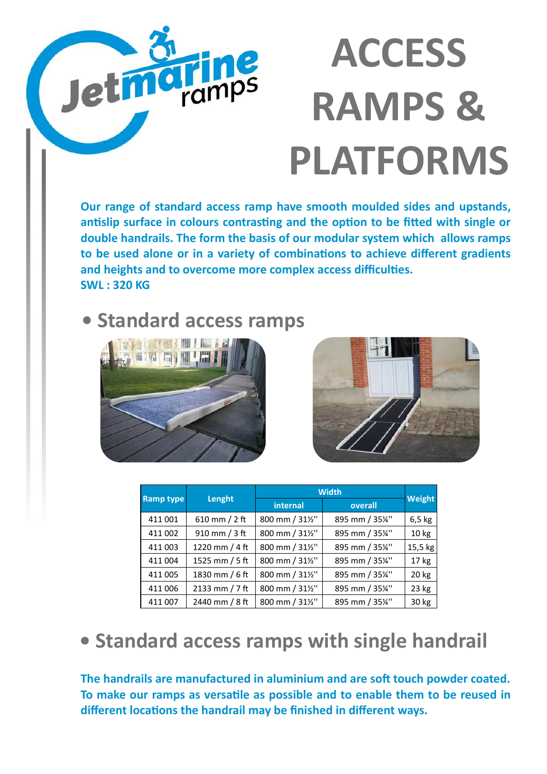# **ACCESS** ran **RAMPS & PLATFORMS**

**Our range of standard access ramp have smooth moulded sides and upstands, antislip surface in colours contrasting and the option to be fitted with single or double handrails. The form the basis of our modular system which allows ramps to be used alone or in a variety of combinations to achieve different gradients and heights and to overcome more complex access difficulties. SWL : 320 KG**

#### **• Standard access ramps**





|                  |                   | <b>Width</b>    |               |               |
|------------------|-------------------|-----------------|---------------|---------------|
| <b>Ramp type</b> | Lenght            | internal        | overall       | <b>Weight</b> |
| 411 001          | 610 mm / 2 ft     | 800 mm / 311/2" | 895 mm / 35¼" | $6,5$ kg      |
| 411 002          | $910$ mm $/$ 3 ft | 800 mm / 311/2" | 895 mm / 35¼" | 10 kg         |
| 411 003          | 1220 mm / 4 ft    | 800 mm / 311/2" | 895 mm / 35¼" | 15,5 kg       |
| 411 004          | 1525 mm / 5 ft    | 800 mm / 311/2" | 895 mm / 35¼" | $17$ kg       |
| 411 005          | 1830 mm / 6 ft    | 800 mm / 311/2" | 895 mm / 35¼" | 20 kg         |
| 411 006          | 2133 mm / 7 ft    | 800 mm / 311/2" | 895 mm / 35¼" | $23$ kg       |
| 411 007          | 2440 mm / 8 ft    | 800 mm / 311/2" | 895 mm / 35¼" | 30 kg         |

#### **• Standard access ramps with single handrail**

**The handrails are manufactured in aluminium and are soft touch powder coated. To make our ramps as versatile as possible and to enable them to be reused in different locations the handrail may be finished in different ways.**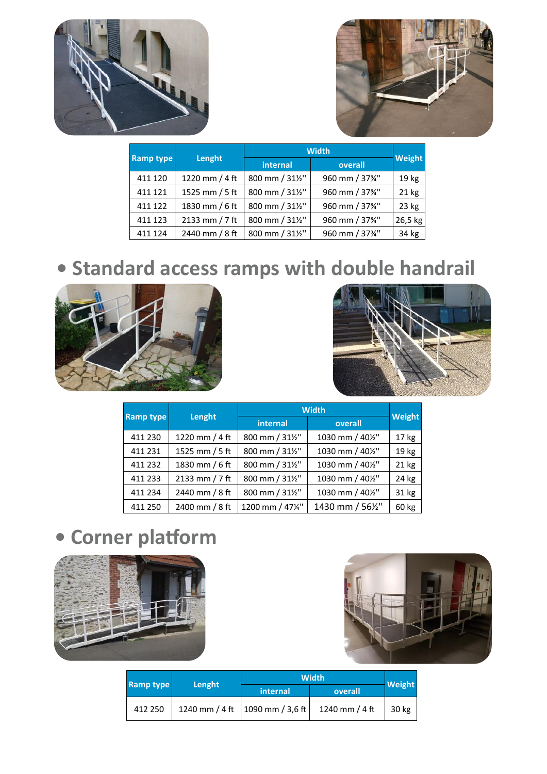



|                  |                | <b>Width</b>    |                 |                  |
|------------------|----------------|-----------------|-----------------|------------------|
| <b>Ramp type</b> | Lenght         | internal        | overall         | <b>Weight</b>    |
| 411 120          | 1220 mm / 4 ft | 800 mm / 311/2" | 960 mm / 373/4" | 19 <sub>kg</sub> |
| 411 121          | 1525 mm / 5 ft | 800 mm / 311/2" | 960 mm / 373/4" | $21$ kg          |
| 411 122          | 1830 mm / 6 ft | 800 mm / 311/2" | 960 mm / 37%"   | $23$ kg          |
| 411 123          | 2133 mm / 7 ft | 800 mm / 311/2" | 960 mm / 3734"  | 26,5 kg          |
| 411 124          | 2440 mm / 8 ft | 800 mm / 311/2" | 960 mm / 371/4" | 34 kg            |

## **• Standard access ramps with double handrail**





|                  |                | <b>Width</b>     |                  |                  |
|------------------|----------------|------------------|------------------|------------------|
| <b>Ramp type</b> | Lenght         | internal         | overall          | Weight           |
| 411 230          | 1220 mm / 4 ft | 800 mm / 311/2"  | 1030 mm / 401/2" | 17 <sub>kg</sub> |
| 411 231          | 1525 mm / 5 ft | 800 mm / 311/2"  | 1030 mm / 401/2" | 19 kg            |
| 411 232          | 1830 mm / 6 ft | 800 mm / 311/2"  | 1030 mm / 401/2" | 21 kg            |
| 411 233          | 2133 mm / 7 ft | 800 mm / 311/2"  | 1030 mm / 401/2" | 24 kg            |
| 411 234          | 2440 mm / 8 ft | 800 mm / 311/2"  | 1030 mm / 401/2" | 31 kg            |
| 411 250          | 2400 mm / 8 ft | 1200 mm / 471/4" | 1430 mm / 561/2" | 60 kg            |

# **• Corner platform**





| <b>Ramp type</b> |        | <b>Width</b>                           |                |               |
|------------------|--------|----------------------------------------|----------------|---------------|
|                  | Lenght | internal                               | overall        | <b>Weight</b> |
| 412 250          |        | 1240 mm / 4 ft $ 1090$ mm / 3,6 ft $ $ | 1240 mm / 4 ft | 30 kg         |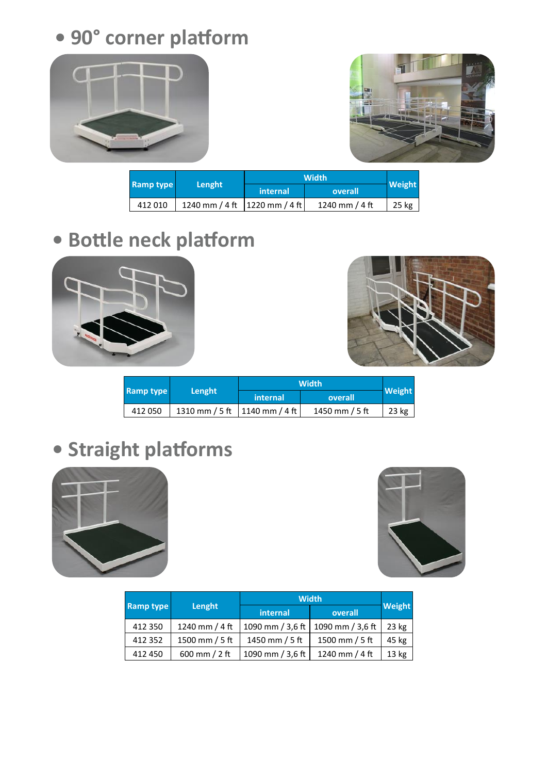**• 90° corner platform**





| <b>Ramp type</b> |                                 | <b>Width</b> |                |               |
|------------------|---------------------------------|--------------|----------------|---------------|
|                  | Lenght                          | internal     | overall        | <b>Weight</b> |
| 412010           | 1240 mm / 4 ft   1220 mm / 4 ft |              | 1240 mm / 4 ft | 25 kg         |

## **• Bottle neck platform**





| <b>Ramp type</b> | Lenght                          | <b>Width</b> |                |         |
|------------------|---------------------------------|--------------|----------------|---------|
|                  |                                 | internal     | overall        | Weight  |
| 412050           | 1310 mm / 5 ft   1140 mm / 4 ft |              | 1450 mm / 5 ft | $23$ kg |

## **• Straight platforms**





|                  | <b>Width</b>   |                  |                  |               |
|------------------|----------------|------------------|------------------|---------------|
| <b>Ramp type</b> | Lenght         | <i>internal</i>  | overall          | <b>Weight</b> |
| 412 350          | 1240 mm / 4 ft | 1090 mm / 3,6 ft | 1090 mm / 3,6 ft | $23$ kg       |
| 412 352          | 1500 mm / 5 ft | 1450 mm / 5 ft   | 1500 mm / 5 ft   | 45 kg         |
| 412 450          | 600 mm / 2 ft  | 1090 mm / 3,6 ft | 1240 mm / 4 ft   | 13 kg         |